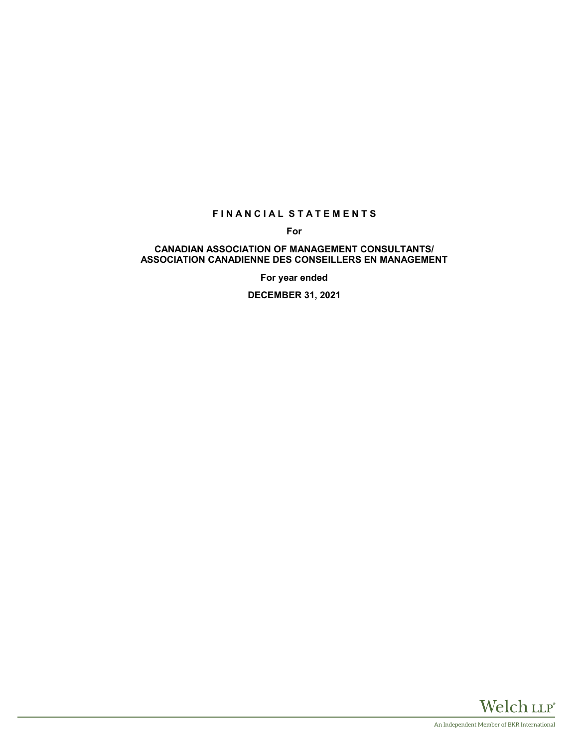# **F I N A N C I A L S T A T E M E N T S**

**For**

# **CANADIAN ASSOCIATION OF MANAGEMENT CONSULTANTS/ ASSOCIATION CANADIENNE DES CONSEILLERS EN MANAGEMENT**

**For year ended**

**DECEMBER 31, 2021**

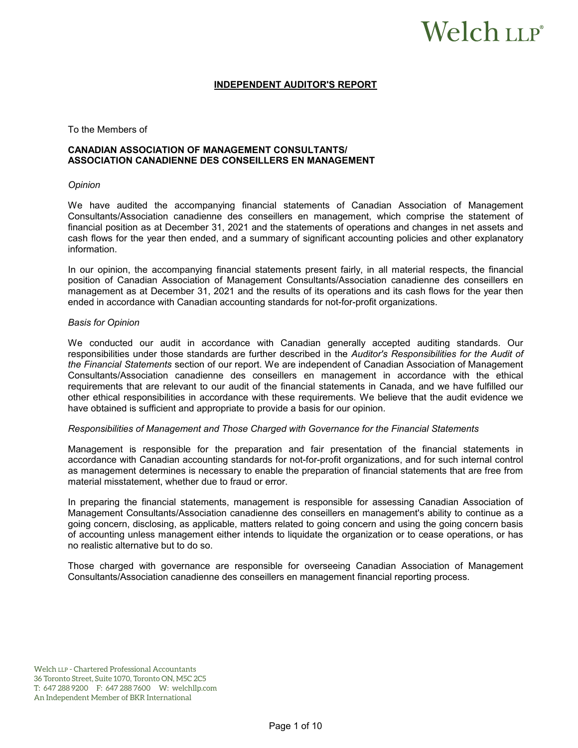# Welch LLP®

## **INDEPENDENT AUDITOR'S REPORT**

To the Members of

# **CANADIAN ASSOCIATION OF MANAGEMENT CONSULTANTS/ ASSOCIATION CANADIENNE DES CONSEILLERS EN MANAGEMENT**

## *Opinion*

We have audited the accompanying financial statements of Canadian Association of Management Consultants/Association canadienne des conseillers en management, which comprise the statement of financial position as at December 31, 2021 and the statements of operations and changes in net assets and cash flows for the year then ended, and a summary of significant accounting policies and other explanatory information.

In our opinion, the accompanying financial statements present fairly, in all material respects, the financial position of Canadian Association of Management Consultants/Association canadienne des conseillers en management as at December 31, 2021 and the results of its operations and its cash flows for the year then ended in accordance with Canadian accounting standards for not-for-profit organizations.

## *Basis for Opinion*

We conducted our audit in accordance with Canadian generally accepted auditing standards. Our responsibilities under those standards are further described in the *Auditor's Responsibilities for the Audit of the Financial Statements* section of our report. We are independent of Canadian Association of Management Consultants/Association canadienne des conseillers en management in accordance with the ethical requirements that are relevant to our audit of the financial statements in Canada, and we have fulfilled our other ethical responsibilities in accordance with these requirements. We believe that the audit evidence we have obtained is sufficient and appropriate to provide a basis for our opinion.

### *Responsibilities of Management and Those Charged with Governance for the Financial Statements*

Management is responsible for the preparation and fair presentation of the financial statements in accordance with Canadian accounting standards for not-for-profit organizations, and for such internal control as management determines is necessary to enable the preparation of financial statements that are free from material misstatement, whether due to fraud or error.

In preparing the financial statements, management is responsible for assessing Canadian Association of Management Consultants/Association canadienne des conseillers en management's ability to continue as a going concern, disclosing, as applicable, matters related to going concern and using the going concern basis of accounting unless management either intends to liquidate the organization or to cease operations, or has no realistic alternative but to do so.

Those charged with governance are responsible for overseeing Canadian Association of Management Consultants/Association canadienne des conseillers en management financial reporting process.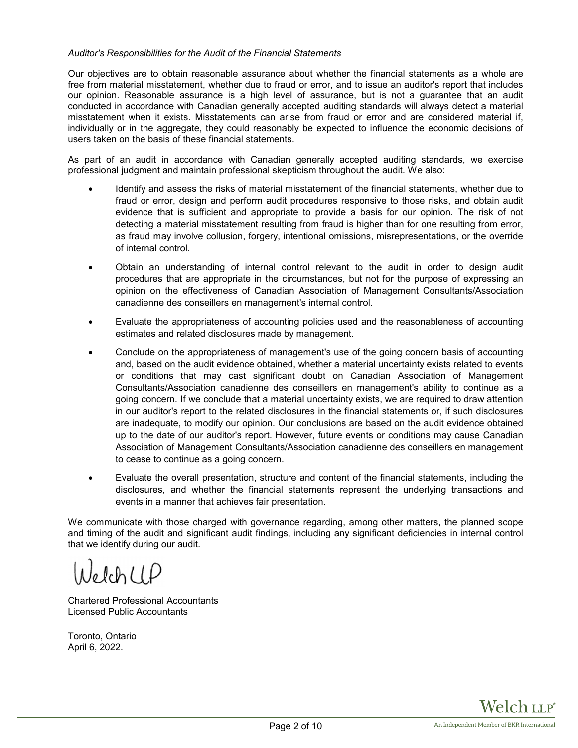# *Auditor's Responsibilities for the Audit of the Financial Statements*

Our objectives are to obtain reasonable assurance about whether the financial statements as a whole are free from material misstatement, whether due to fraud or error, and to issue an auditor's report that includes our opinion. Reasonable assurance is a high level of assurance, but is not a guarantee that an audit conducted in accordance with Canadian generally accepted auditing standards will always detect a material misstatement when it exists. Misstatements can arise from fraud or error and are considered material if, individually or in the aggregate, they could reasonably be expected to influence the economic decisions of users taken on the basis of these financial statements.

As part of an audit in accordance with Canadian generally accepted auditing standards, we exercise professional judgment and maintain professional skepticism throughout the audit. We also:

- Identify and assess the risks of material misstatement of the financial statements, whether due to fraud or error, design and perform audit procedures responsive to those risks, and obtain audit evidence that is sufficient and appropriate to provide a basis for our opinion. The risk of not detecting a material misstatement resulting from fraud is higher than for one resulting from error, as fraud may involve collusion, forgery, intentional omissions, misrepresentations, or the override of internal control.
- Obtain an understanding of internal control relevant to the audit in order to design audit procedures that are appropriate in the circumstances, but not for the purpose of expressing an opinion on the effectiveness of Canadian Association of Management Consultants/Association canadienne des conseillers en management's internal control.
- Evaluate the appropriateness of accounting policies used and the reasonableness of accounting estimates and related disclosures made by management.
- Conclude on the appropriateness of management's use of the going concern basis of accounting and, based on the audit evidence obtained, whether a material uncertainty exists related to events or conditions that may cast significant doubt on Canadian Association of Management Consultants/Association canadienne des conseillers en management's ability to continue as a going concern. If we conclude that a material uncertainty exists, we are required to draw attention in our auditor's report to the related disclosures in the financial statements or, if such disclosures are inadequate, to modify our opinion. Our conclusions are based on the audit evidence obtained up to the date of our auditor's report. However, future events or conditions may cause Canadian Association of Management Consultants/Association canadienne des conseillers en management to cease to continue as a going concern.
- Evaluate the overall presentation, structure and content of the financial statements, including the disclosures, and whether the financial statements represent the underlying transactions and events in a manner that achieves fair presentation.

We communicate with those charged with governance regarding, among other matters, the planned scope and timing of the audit and significant audit findings, including any significant deficiencies in internal control that we identify during our audit.

lelchUP

Chartered Professional Accountants Licensed Public Accountants

Toronto, Ontario April 6, 2022.

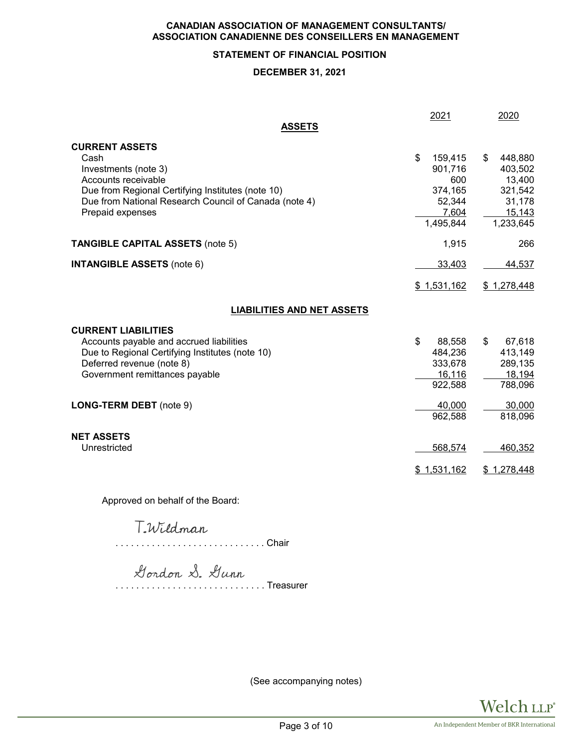# **STATEMENT OF FINANCIAL POSITION**

# **DECEMBER 31, 2021**

| <b>ASSETS</b>                                                                                                                                                                                                  | 2021                                                                       | 2020                                                                           |
|----------------------------------------------------------------------------------------------------------------------------------------------------------------------------------------------------------------|----------------------------------------------------------------------------|--------------------------------------------------------------------------------|
| <b>CURRENT ASSETS</b><br>Cash<br>Investments (note 3)<br>Accounts receivable<br>Due from Regional Certifying Institutes (note 10)<br>Due from National Research Council of Canada (note 4)<br>Prepaid expenses | \$<br>159,415<br>901,716<br>600<br>374,165<br>52,344<br>7,604<br>1,495,844 | 448,880<br>\$<br>403,502<br>13,400<br>321,542<br>31,178<br>15,143<br>1,233,645 |
| <b>TANGIBLE CAPITAL ASSETS (note 5)</b>                                                                                                                                                                        | 1,915                                                                      | 266                                                                            |
| <b>INTANGIBLE ASSETS (note 6)</b>                                                                                                                                                                              | 33,403                                                                     | 44,537                                                                         |
|                                                                                                                                                                                                                | \$1,531,162                                                                | \$1,278,448                                                                    |
| <b>LIABILITIES AND NET ASSETS</b>                                                                                                                                                                              |                                                                            |                                                                                |
| <b>CURRENT LIABILITIES</b><br>Accounts payable and accrued liabilities<br>Due to Regional Certifying Institutes (note 10)<br>Deferred revenue (note 8)<br>Government remittances payable                       | \$<br>88,558<br>484,236<br>333,678<br>16,116<br>922,588                    | \$<br>67,618<br>413,149<br>289,135<br>18,194<br>788,096                        |
| <b>LONG-TERM DEBT</b> (note 9)                                                                                                                                                                                 | 40,000<br>962,588                                                          | 30,000<br>818,096                                                              |
| <b>NET ASSETS</b><br>Unrestricted                                                                                                                                                                              | 568,574<br>\$1,531,162                                                     | 460,352<br>\$1,278,448                                                         |
|                                                                                                                                                                                                                |                                                                            |                                                                                |

Approved on behalf of the Board:

. . . . . . . . . . . . . . . . . . . . . . . . . . . . . Chair

. . . . . . . . . . . . . . . . . . . . . . . . . . . . . Treasurer

(See accompanying notes)

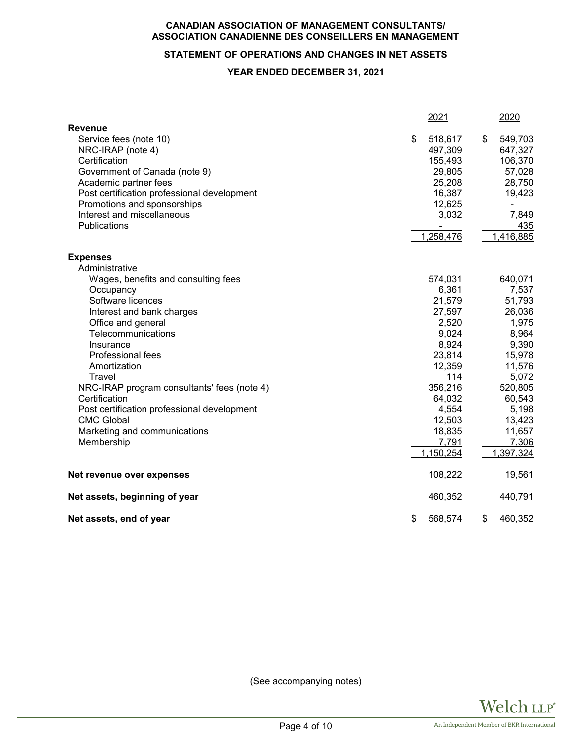# **STATEMENT OF OPERATIONS AND CHANGES IN NET ASSETS**

# **YEAR ENDED DECEMBER 31, 2021**

|                                             | 2021           | 2020           |
|---------------------------------------------|----------------|----------------|
| <b>Revenue</b>                              |                |                |
| Service fees (note 10)                      | \$<br>518,617  | \$<br>549,703  |
| NRC-IRAP (note 4)                           | 497,309        | 647,327        |
| Certification                               | 155,493        | 106,370        |
| Government of Canada (note 9)               | 29,805         | 57,028         |
| Academic partner fees                       | 25,208         | 28,750         |
| Post certification professional development | 16,387         | 19,423         |
| Promotions and sponsorships                 | 12,625         | $\blacksquare$ |
| Interest and miscellaneous                  | 3,032          | 7,849          |
| Publications                                | $\blacksquare$ | 435            |
|                                             | 1,258,476      | 1,416,885      |
| <b>Expenses</b>                             |                |                |
| Administrative                              |                |                |
| Wages, benefits and consulting fees         | 574,031        | 640,071        |
| Occupancy                                   | 6,361          | 7,537          |
| Software licences                           | 21,579         | 51,793         |
| Interest and bank charges                   | 27,597         | 26,036         |
| Office and general                          | 2,520          | 1,975          |
| Telecommunications                          | 9,024          | 8,964          |
| Insurance                                   | 8,924          | 9,390          |
| <b>Professional fees</b>                    | 23,814         | 15,978         |
| Amortization                                | 12,359         | 11,576         |
| Travel                                      | 114            | 5,072          |
| NRC-IRAP program consultants' fees (note 4) | 356,216        | 520,805        |
| Certification                               | 64,032         | 60,543         |
| Post certification professional development | 4,554          | 5,198          |
| <b>CMC Global</b>                           | 12,503         | 13,423         |
| Marketing and communications                | 18,835         | 11,657         |
| Membership                                  | 7,791          | 7,306          |
|                                             | 1,150,254      | 1,397,324      |
| Net revenue over expenses                   | 108,222        | 19,561         |
| Net assets, beginning of year               | 460,352        | 440,791        |
| Net assets, end of year                     | \$<br>568,574  | \$<br>460,352  |

(See accompanying notes)

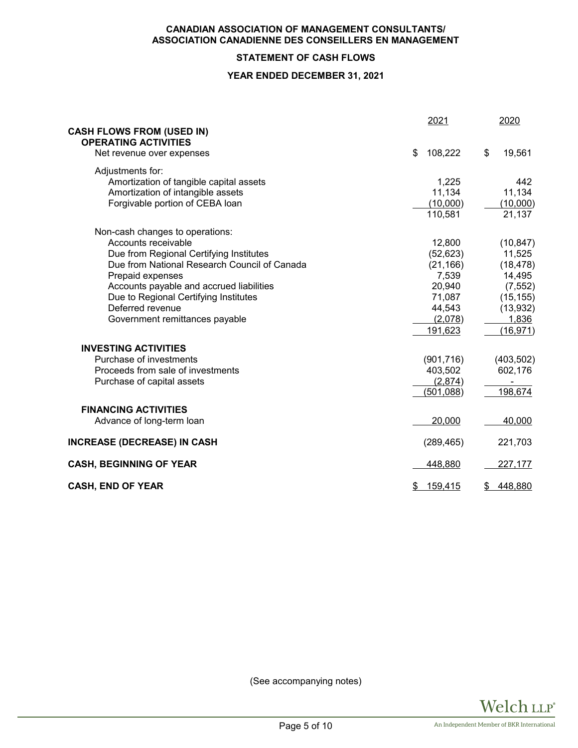# **STATEMENT OF CASH FLOWS**

# **YEAR ENDED DECEMBER 31, 2021**

|                                              | 2021          | 2020          |
|----------------------------------------------|---------------|---------------|
| <b>CASH FLOWS FROM (USED IN)</b>             |               |               |
| <b>OPERATING ACTIVITIES</b>                  |               |               |
| Net revenue over expenses                    | \$<br>108,222 | \$<br>19,561  |
| Adjustments for:                             |               |               |
| Amortization of tangible capital assets      | 1,225         | 442           |
| Amortization of intangible assets            | 11,134        | 11,134        |
| Forgivable portion of CEBA loan              | (10,000)      | (10,000)      |
|                                              | 110,581       | 21,137        |
| Non-cash changes to operations:              |               |               |
| Accounts receivable                          | 12,800        | (10, 847)     |
| Due from Regional Certifying Institutes      | (52, 623)     | 11,525        |
| Due from National Research Council of Canada | (21, 166)     | (18, 478)     |
| Prepaid expenses                             | 7,539         | 14,495        |
| Accounts payable and accrued liabilities     | 20,940        | (7, 552)      |
| Due to Regional Certifying Institutes        | 71,087        | (15, 155)     |
| Deferred revenue                             | 44,543        | (13, 932)     |
| Government remittances payable               | (2,078)       | 1,836         |
|                                              | 191,623       | (16, 971)     |
| <b>INVESTING ACTIVITIES</b>                  |               |               |
| Purchase of investments                      | (901, 716)    | (403, 502)    |
| Proceeds from sale of investments            | 403,502       | 602,176       |
| Purchase of capital assets                   | (2,874)       |               |
|                                              | (501,088)     | 198,674       |
| <b>FINANCING ACTIVITIES</b>                  |               |               |
| Advance of long-term loan                    | 20,000        | 40,000        |
| <b>INCREASE (DECREASE) IN CASH</b>           | (289, 465)    | 221,703       |
| <b>CASH, BEGINNING OF YEAR</b>               | 448,880       | 227,177       |
| <b>CASH, END OF YEAR</b>                     | 159,415<br>\$ | 448,880<br>\$ |

(See accompanying notes)

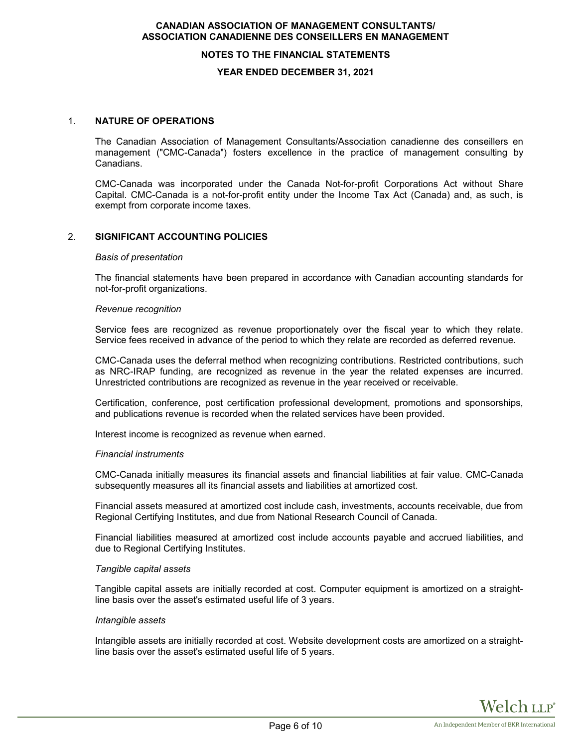# **NOTES TO THE FINANCIAL STATEMENTS**

## **YEAR ENDED DECEMBER 31, 2021**

# 1. **NATURE OF OPERATIONS**

The Canadian Association of Management Consultants/Association canadienne des conseillers en management ("CMC-Canada") fosters excellence in the practice of management consulting by Canadians.

CMC-Canada was incorporated under the Canada Not-for-profit Corporations Act without Share Capital. CMC-Canada is a not-for-profit entity under the Income Tax Act (Canada) and, as such, is exempt from corporate income taxes.

# 2. **SIGNIFICANT ACCOUNTING POLICIES**

### *Basis of presentation*

The financial statements have been prepared in accordance with Canadian accounting standards for not-for-profit organizations.

### *Revenue recognition*

Service fees are recognized as revenue proportionately over the fiscal year to which they relate. Service fees received in advance of the period to which they relate are recorded as deferred revenue.

CMC-Canada uses the deferral method when recognizing contributions. Restricted contributions, such as NRC-IRAP funding, are recognized as revenue in the year the related expenses are incurred. Unrestricted contributions are recognized as revenue in the year received or receivable.

Certification, conference, post certification professional development, promotions and sponsorships, and publications revenue is recorded when the related services have been provided.

Interest income is recognized as revenue when earned.

## *Financial instruments*

CMC-Canada initially measures its financial assets and financial liabilities at fair value. CMC-Canada subsequently measures all its financial assets and liabilities at amortized cost.

Financial assets measured at amortized cost include cash, investments, accounts receivable, due from Regional Certifying Institutes, and due from National Research Council of Canada.

Financial liabilities measured at amortized cost include accounts payable and accrued liabilities, and due to Regional Certifying Institutes.

## *Tangible capital assets*

Tangible capital assets are initially recorded at cost. Computer equipment is amortized on a straightline basis over the asset's estimated useful life of 3 years.

### *Intangible assets*

Intangible assets are initially recorded at cost. Website development costs are amortized on a straightline basis over the asset's estimated useful life of 5 years.

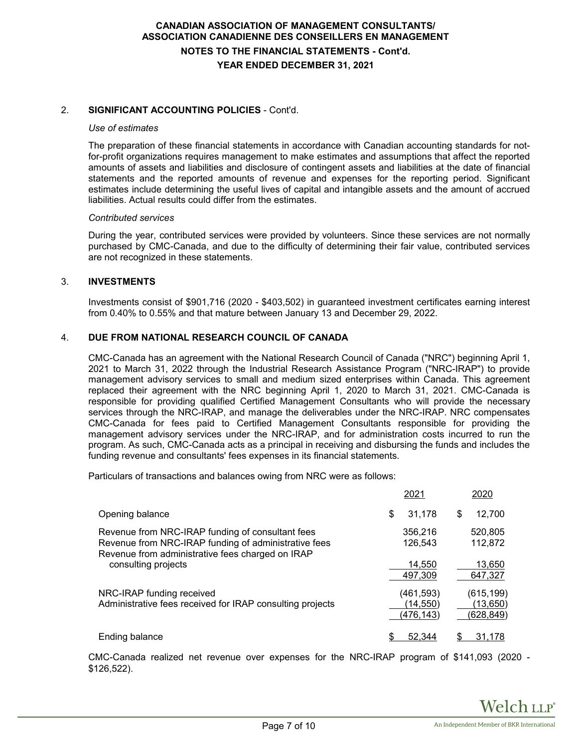# **CANADIAN ASSOCIATION OF MANAGEMENT CONSULTANTS/ ASSOCIATION CANADIENNE DES CONSEILLERS EN MANAGEMENT NOTES TO THE FINANCIAL STATEMENTS - Cont'd. YEAR ENDED DECEMBER 31, 2021**

# 2. **SIGNIFICANT ACCOUNTING POLICIES** - Cont'd.

## *Use of estimates*

The preparation of these financial statements in accordance with Canadian accounting standards for notfor-profit organizations requires management to make estimates and assumptions that affect the reported amounts of assets and liabilities and disclosure of contingent assets and liabilities at the date of financial statements and the reported amounts of revenue and expenses for the reporting period. Significant estimates include determining the useful lives of capital and intangible assets and the amount of accrued liabilities. Actual results could differ from the estimates.

## *Contributed services*

During the year, contributed services were provided by volunteers. Since these services are not normally purchased by CMC-Canada, and due to the difficulty of determining their fair value, contributed services are not recognized in these statements.

# 3. **INVESTMENTS**

Investments consist of \$901,716 (2020 - \$403,502) in guaranteed investment certificates earning interest from 0.40% to 0.55% and that mature between January 13 and December 29, 2022.

# 4. **DUE FROM NATIONAL RESEARCH COUNCIL OF CANADA**

CMC-Canada has an agreement with the National Research Council of Canada ("NRC") beginning April 1, 2021 to March 31, 2022 through the Industrial Research Assistance Program ("NRC-IRAP") to provide management advisory services to small and medium sized enterprises within Canada. This agreement replaced their agreement with the NRC beginning April 1, 2020 to March 31, 2021. CMC-Canada is responsible for providing qualified Certified Management Consultants who will provide the necessary services through the NRC-IRAP, and manage the deliverables under the NRC-IRAP. NRC compensates CMC-Canada for fees paid to Certified Management Consultants responsible for providing the management advisory services under the NRC-IRAP, and for administration costs incurred to run the program. As such, CMC-Canada acts as a principal in receiving and disbursing the funds and includes the funding revenue and consultants' fees expenses in its financial statements.

Particulars of transactions and balances owing from NRC were as follows:

|                                                                                                                                                              | 2021                                        | 2020                                             |
|--------------------------------------------------------------------------------------------------------------------------------------------------------------|---------------------------------------------|--------------------------------------------------|
| Opening balance                                                                                                                                              | \$<br>31,178                                | \$<br>12,700                                     |
| Revenue from NRC-IRAP funding of consultant fees<br>Revenue from NRC-IRAP funding of administrative fees<br>Revenue from administrative fees charged on IRAP | 356,216<br>126,543                          | 520,805<br>112,872                               |
| consulting projects                                                                                                                                          | 14.550<br>497,309                           | 13,650<br>647,327                                |
| NRC-IRAP funding received<br>Administrative fees received for IRAP consulting projects                                                                       | (461, 593)<br>(14, 550)<br><u>(476,143)</u> | (615,199)<br><u>(13,650)</u><br><u>(628,849)</u> |
| Ending balance                                                                                                                                               | 52.344                                      | 31.178                                           |

CMC-Canada realized net revenue over expenses for the NRC-IRAP program of \$141,093 (2020 - \$126,522).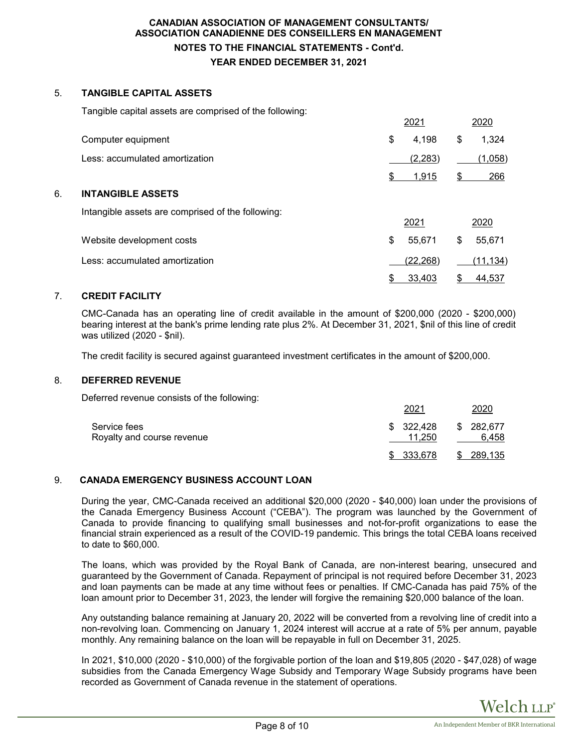# **CANADIAN ASSOCIATION OF MANAGEMENT CONSULTANTS/ ASSOCIATION CANADIENNE DES CONSEILLERS EN MANAGEMENT NOTES TO THE FINANCIAL STATEMENTS - Cont'd. YEAR ENDED DECEMBER 31, 2021**

# 5. **TANGIBLE CAPITAL ASSETS**

Tangible capital assets are comprised of the following:

|    |                                                   | 2021         |    | 2020      |
|----|---------------------------------------------------|--------------|----|-----------|
|    | Computer equipment                                | \$<br>4,198  | \$ | 1,324     |
|    | Less: accumulated amortization                    | (2, 283)     |    | (1,058)   |
|    |                                                   | 1,915        | \$ | 266       |
| 6. | <b>INTANGIBLE ASSETS</b>                          |              |    |           |
|    | Intangible assets are comprised of the following: | 2021         |    | 2020      |
|    | Website development costs                         | \$<br>55,671 | \$ | 55,671    |
|    | Less: accumulated amortization                    | (22, 268)    |    | (11, 134) |
|    |                                                   | 33,403       | S  | 44,537    |

# 7. **CREDIT FACILITY**

CMC-Canada has an operating line of credit available in the amount of \$200,000 (2020 - \$200,000) bearing interest at the bank's prime lending rate plus 2%. At December 31, 2021, \$nil of this line of credit was utilized (2020 - \$nil).

The credit facility is secured against guaranteed investment certificates in the amount of \$200,000.

# 8. **DEFERRED REVENUE**

Deferred revenue consists of the following:

|                                            | 2021       | 2020                         |
|--------------------------------------------|------------|------------------------------|
| Service fees<br>Royalty and course revenue | \$322.428  | \$282,677<br>11.250<br>6.458 |
|                                            | \$ 333,678 | 289.135<br>\$.               |

# 9. **CANADA EMERGENCY BUSINESS ACCOUNT LOAN**

During the year, CMC-Canada received an additional \$20,000 (2020 - \$40,000) loan under the provisions of the Canada Emergency Business Account ("CEBA"). The program was launched by the Government of Canada to provide financing to qualifying small businesses and not-for-profit organizations to ease the financial strain experienced as a result of the COVID-19 pandemic. This brings the total CEBA loans received to date to \$60,000.

The loans, which was provided by the Royal Bank of Canada, are non-interest bearing, unsecured and guaranteed by the Government of Canada. Repayment of principal is not required before December 31, 2023 and loan payments can be made at any time without fees or penalties. If CMC-Canada has paid 75% of the loan amount prior to December 31, 2023, the lender will forgive the remaining \$20,000 balance of the loan.

Any outstanding balance remaining at January 20, 2022 will be converted from a revolving line of credit into a non-revolving loan. Commencing on January 1, 2024 interest will accrue at a rate of 5% per annum, payable monthly. Any remaining balance on the loan will be repayable in full on December 31, 2025.

In 2021, \$10,000 (2020 - \$10,000) of the forgivable portion of the loan and \$19,805 (2020 - \$47,028) of wage subsidies from the Canada Emergency Wage Subsidy and Temporary Wage Subsidy programs have been recorded as Government of Canada revenue in the statement of operations.

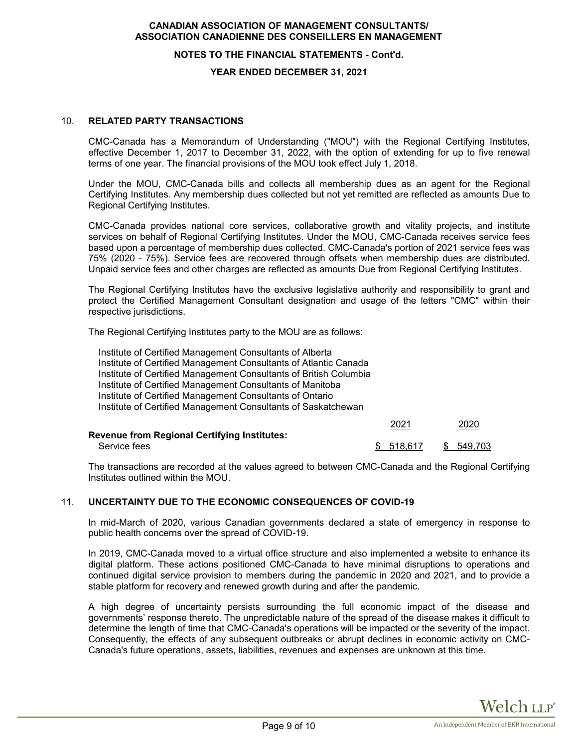# **NOTES TO THE FINANCIAL STATEMENTS - Cont'd.**

## **YEAR ENDED DECEMBER 31, 2021**

# 10. **RELATED PARTY TRANSACTIONS**

CMC-Canada has a Memorandum of Understanding ("MOU") with the Regional Certifying Institutes, effective December 1, 2017 to December 31, 2022, with the option of extending for up to five renewal terms of one year. The financial provisions of the MOU took effect July 1, 2018.

Under the MOU, CMC-Canada bills and collects all membership dues as an agent for the Regional Certifying Institutes. Any membership dues collected but not yet remitted are reflected as amounts Due to Regional Certifying Institutes.

CMC-Canada provides national core services, collaborative growth and vitality projects, and institute services on behalf of Regional Certifying Institutes. Under the MOU, CMC-Canada receives service fees based upon a percentage of membership dues collected. CMC-Canada's portion of 2021 service fees was 75% (2020 - 75%). Service fees are recovered through offsets when membership dues are distributed. Unpaid service fees and other charges are reflected as amounts Due from Regional Certifying Institutes.

The Regional Certifying Institutes have the exclusive legislative authority and responsibility to grant and protect the Certified Management Consultant designation and usage of the letters "CMC" within their respective jurisdictions.

The Regional Certifying Institutes party to the MOU are as follows:

Institute of Certified Management Consultants of Alberta Institute of Certified Management Consultants of Atlantic Canada Institute of Certified Management Consultants of British Columbia Institute of Certified Management Consultants of Manitoba Institute of Certified Management Consultants of Ontario Institute of Certified Management Consultants of Saskatchewan 2021 2020

| <b>Revenue from Regional Certifying Institutes:</b> | <b>LULI</b> | ∠∪∠∪      |
|-----------------------------------------------------|-------------|-----------|
| Service fees                                        | \$518.617   | \$549.703 |

The transactions are recorded at the values agreed to between CMC-Canada and the Regional Certifying Institutes outlined within the MOU.

# 11. **UNCERTAINTY DUE TO THE ECONOMIC CONSEQUENCES OF COVID-19**

In mid-March of 2020, various Canadian governments declared a state of emergency in response to public health concerns over the spread of COVID-19.

In 2019, CMC-Canada moved to a virtual office structure and also implemented a website to enhance its digital platform. These actions positioned CMC-Canada to have minimal disruptions to operations and continued digital service provision to members during the pandemic in 2020 and 2021, and to provide a stable platform for recovery and renewed growth during and after the pandemic.

A high degree of uncertainty persists surrounding the full economic impact of the disease and governments' response thereto. The unpredictable nature of the spread of the disease makes it difficult to determine the length of time that CMC-Canada's operations will be impacted or the severity of the impact. Consequently, the effects of any subsequent outbreaks or abrupt declines in economic activity on CMC-Canada's future operations, assets, liabilities, revenues and expenses are unknown at this time.